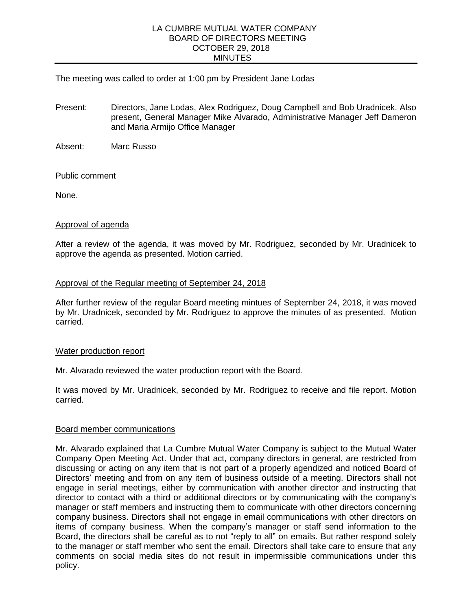#### LA CUMBRE MUTUAL WATER COMPANY BOARD OF DIRECTORS MEETING OCTOBER 29, 2018 MINUTES

The meeting was called to order at 1:00 pm by President Jane Lodas

- Present: Directors, Jane Lodas, Alex Rodriguez, Doug Campbell and Bob Uradnicek. Also present, General Manager Mike Alvarado, Administrative Manager Jeff Dameron and Maria Armijo Office Manager
- Absent: Marc Russo

# Public comment

None.

# Approval of agenda

After a review of the agenda, it was moved by Mr. Rodriguez, seconded by Mr. Uradnicek to approve the agenda as presented. Motion carried.

# Approval of the Regular meeting of September 24, 2018

After further review of the regular Board meeting mintues of September 24, 2018, it was moved by Mr. Uradnicek, seconded by Mr. Rodriguez to approve the minutes of as presented. Motion carried.

## Water production report

Mr. Alvarado reviewed the water production report with the Board.

It was moved by Mr. Uradnicek, seconded by Mr. Rodriguez to receive and file report. Motion carried.

## Board member communications

Mr. Alvarado explained that La Cumbre Mutual Water Company is subject to the Mutual Water Company Open Meeting Act. Under that act, company directors in general, are restricted from discussing or acting on any item that is not part of a properly agendized and noticed Board of Directors' meeting and from on any item of business outside of a meeting. Directors shall not engage in serial meetings, either by communication with another director and instructing that director to contact with a third or additional directors or by communicating with the company's manager or staff members and instructing them to communicate with other directors concerning company business. Directors shall not engage in email communications with other directors on items of company business. When the company's manager or staff send information to the Board, the directors shall be careful as to not "reply to all" on emails. But rather respond solely to the manager or staff member who sent the email. Directors shall take care to ensure that any comments on social media sites do not result in impermissible communications under this policy.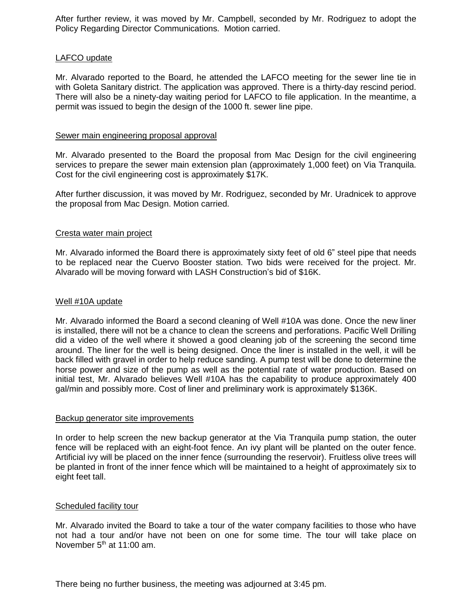After further review, it was moved by Mr. Campbell, seconded by Mr. Rodriguez to adopt the Policy Regarding Director Communications. Motion carried.

# LAFCO update

Mr. Alvarado reported to the Board, he attended the LAFCO meeting for the sewer line tie in with Goleta Sanitary district. The application was approved. There is a thirty-day rescind period. There will also be a ninety-day waiting period for LAFCO to file application. In the meantime, a permit was issued to begin the design of the 1000 ft. sewer line pipe.

## Sewer main engineering proposal approval

Mr. Alvarado presented to the Board the proposal from Mac Design for the civil engineering services to prepare the sewer main extension plan (approximately 1,000 feet) on Via Tranquila. Cost for the civil engineering cost is approximately \$17K.

After further discussion, it was moved by Mr. Rodriguez, seconded by Mr. Uradnicek to approve the proposal from Mac Design. Motion carried.

## Cresta water main project

Mr. Alvarado informed the Board there is approximately sixty feet of old 6" steel pipe that needs to be replaced near the Cuervo Booster station. Two bids were received for the project. Mr. Alvarado will be moving forward with LASH Construction's bid of \$16K.

#### Well #10A update

Mr. Alvarado informed the Board a second cleaning of Well #10A was done. Once the new liner is installed, there will not be a chance to clean the screens and perforations. Pacific Well Drilling did a video of the well where it showed a good cleaning job of the screening the second time around. The liner for the well is being designed. Once the liner is installed in the well, it will be back filled with gravel in order to help reduce sanding. A pump test will be done to determine the horse power and size of the pump as well as the potential rate of water production. Based on initial test, Mr. Alvarado believes Well #10A has the capability to produce approximately 400 gal/min and possibly more. Cost of liner and preliminary work is approximately \$136K.

#### Backup generator site improvements

In order to help screen the new backup generator at the Via Tranquila pump station, the outer fence will be replaced with an eight-foot fence. An ivy plant will be planted on the outer fence. Artificial ivy will be placed on the inner fence (surrounding the reservoir). Fruitless olive trees will be planted in front of the inner fence which will be maintained to a height of approximately six to eight feet tall.

## Scheduled facility tour

Mr. Alvarado invited the Board to take a tour of the water company facilities to those who have not had a tour and/or have not been on one for some time. The tour will take place on November  $5<sup>th</sup>$  at 11:00 am.

There being no further business, the meeting was adjourned at 3:45 pm.